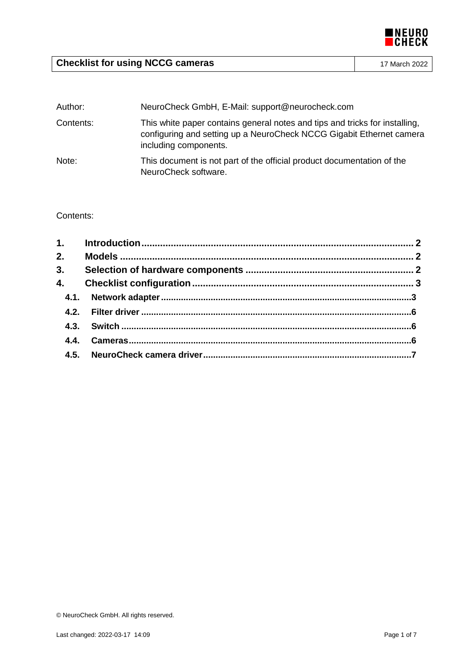

# **Checklist for using NCCG cameras** 17 March 2022

| Author:   | NeuroCheck GmbH, E-Mail: support@neurocheck.com                                                                                                                              |  |
|-----------|------------------------------------------------------------------------------------------------------------------------------------------------------------------------------|--|
| Contents: | This white paper contains general notes and tips and tricks for installing,<br>configuring and setting up a NeuroCheck NCCG Gigabit Ethernet camera<br>including components. |  |
| Note:     | This document is not part of the official product documentation of the<br>NeuroCheck software.                                                                               |  |

# Contents: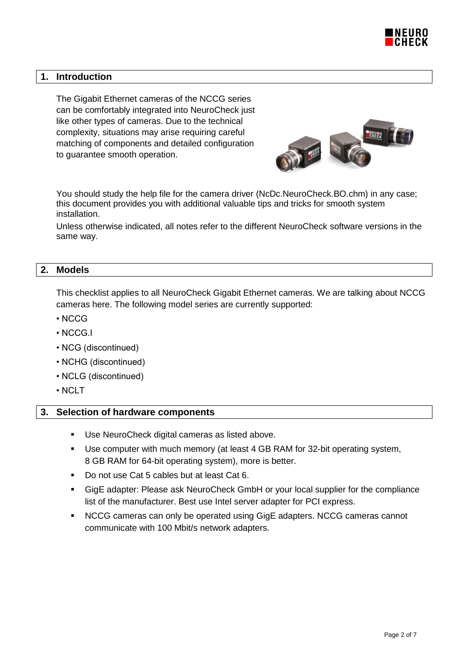

# **1. Introduction**

The Gigabit Ethernet cameras of the NCCG series can be comfortably integrated into NeuroCheck just like other types of cameras. Due to the technical complexity, situations may arise requiring careful matching of components and detailed configuration to guarantee smooth operation.



You should study the help file for the camera driver (NcDc.NeuroCheck.BO.chm) in any case; this document provides you with additional valuable tips and tricks for smooth system installation.

Unless otherwise indicated, all notes refer to the different NeuroCheck software versions in the same way.

#### **2. Models**

This checklist applies to all NeuroCheck Gigabit Ethernet cameras. We are talking about NCCG cameras here. The following model series are currently supported:

- NCCG
- NCCG.I
- NCG (discontinued)
- NCHG (discontinued)
- NCLG (discontinued)
- NCLT

#### **3. Selection of hardware components**

- Use NeuroCheck digital cameras as listed above.
- Use computer with much memory (at least 4 GB RAM for 32-bit operating system, 8 GB RAM for 64-bit operating system), more is better.
- Do not use Cat 5 cables but at least Cat 6.
- GigE adapter: Please ask NeuroCheck GmbH or your local supplier for the compliance list of the manufacturer. Best use Intel server adapter for PCI express.
- NCCG cameras can only be operated using GigE adapters. NCCG cameras cannot communicate with 100 Mbit/s network adapters.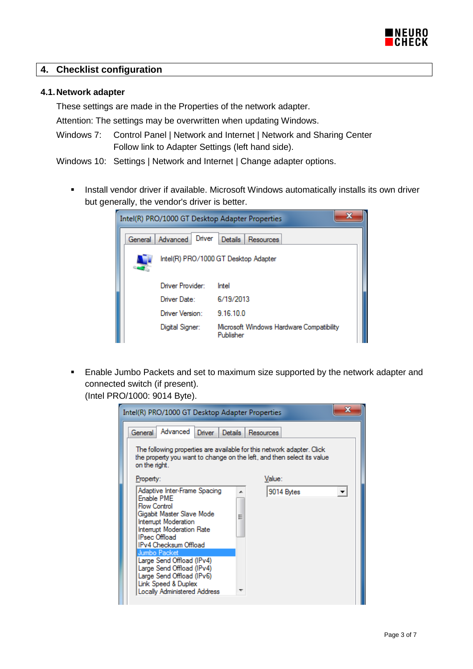

# **4. Checklist configuration**

#### **4.1.Network adapter**

These settings are made in the Properties of the network adapter.

Attention: The settings may be overwritten when updating Windows.

- Windows 7: Control Panel | Network and Internet | Network and Sharing Center Follow link to Adapter Settings (left hand side).
- Windows 10: Settings | Network and Internet | Change adapter options.
	- **Install vendor driver if available. Microsoft Windows automatically installs its own driver** but generally, the vendor's driver is better.

|         |                    | х<br>Intel(R) PRO/1000 GT Desktop Adapter Properties  |
|---------|--------------------|-------------------------------------------------------|
| General | Driver<br>Advanced | Details<br>Resources                                  |
|         |                    | Intel(R) PRO/1000 GT Desktop Adapter                  |
|         | Driver Provider:   | Intel                                                 |
|         | Driver Date:       | 6/19/2013                                             |
|         | Driver Version:    | 9.16.10.0                                             |
|         | Digital Signer:    | Microsoft Windows Hardware Compatibility<br>Publisher |

 Enable Jumbo Packets and set to maximum size supported by the network adapter and connected switch (if present).

(Intel PRO/1000: 9014 Byte).

| Intel(R) PRO/1000 GT Desktop Adapter Properties                                                                                                                                               |                                                                                                                                                                                 |
|-----------------------------------------------------------------------------------------------------------------------------------------------------------------------------------------------|---------------------------------------------------------------------------------------------------------------------------------------------------------------------------------|
| Advanced<br>General<br>Driver                                                                                                                                                                 | Details<br><b>Resources</b><br>The following properties are available for this network adapter. Click<br>the property you want to change on the left, and then select its value |
| on the right.<br>Property:                                                                                                                                                                    | Value:                                                                                                                                                                          |
| Adaptive Inter-Frame Spacing<br>Fnable PMF<br>Flow Control<br>Gigabit Master Slave Mode<br>Interrupt Moderation<br>Interrupt Moderation Rate<br><b>IPsec Offload</b><br>IPv4 Checksum Offload | 9014 Bytes<br>▼<br>Ξ                                                                                                                                                            |
| Jumbo Packet<br>Large Send Offload (IPv4)<br>Large Send Offload (IPv4)<br>Large Send Offload (IPv6)<br>Link Speed & Duplex<br><b>Locally Administered Address</b>                             |                                                                                                                                                                                 |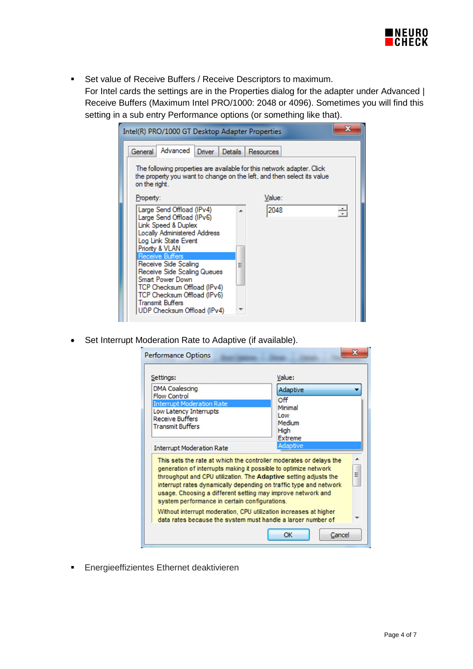

**Set value of Receive Buffers / Receive Descriptors to maximum.** 

For Intel cards the settings are in the Properties dialog for the adapter under Advanced | Receive Buffers (Maximum Intel PRO/1000: 2048 or 4096). Sometimes you will find this setting in a sub entry Performance options (or something like that).

| Intel(R) PRO/1000 GT Desktop Adapter Properties                                                                                                                                                                           | х               |
|---------------------------------------------------------------------------------------------------------------------------------------------------------------------------------------------------------------------------|-----------------|
| Advanced<br>Driver  <br>General<br>Details I                                                                                                                                                                              | Resources       |
| The following properties are available for this network adapter. Click<br>the property you want to change on the left, and then select its value<br>on the right.                                                         |                 |
| Property:                                                                                                                                                                                                                 | Value:          |
| Large Send Offload (IPv4)<br>Large Send Offload (IPv6)<br>Link Speed & Duplex<br>Locally Administered Address<br>Log Link State Event<br>Priority & VLAN                                                                  | 2048<br>÷<br>A. |
| <b>Receive Buffers</b><br>Receive Side Scaling<br>Receive Side Scaling Queues<br>Smart Power Down<br>TCP Checksum Offload (IPv4)<br>TCP Checksum Offload (IPv6)<br><b>Transmit Buffers</b><br>UDP Checksum Offload (IPv4) | Ξ               |

• Set Interrupt Moderation Rate to Adaptive (if available).

| <b>Performance Options</b>                                                                                                                                                                                                                                                                                                                                                                     |                                                                       |
|------------------------------------------------------------------------------------------------------------------------------------------------------------------------------------------------------------------------------------------------------------------------------------------------------------------------------------------------------------------------------------------------|-----------------------------------------------------------------------|
| Settings:                                                                                                                                                                                                                                                                                                                                                                                      | Value:                                                                |
| <b>DMA Coalescing</b><br><b>Flow Control</b><br><b>Interrupt Moderation Rate</b><br>Low Latency Interrupts<br><b>Receive Buffers</b><br><b>Transmit Buffers</b>                                                                                                                                                                                                                                | Adaptive<br>Off<br>Minimal<br>Low<br>Medium<br>High<br><b>Extreme</b> |
| <b>Interrupt Moderation Rate</b>                                                                                                                                                                                                                                                                                                                                                               | Adaptive                                                              |
| This sets the rate at which the controller moderates or delays the<br>generation of interrupts making it possible to optimize network<br>throughput and CPU utilization. The Adaptive setting adjusts the<br>interrupt rates dynamically depending on traffic type and network<br>usage. Choosing a different setting may improve network and<br>system performance in certain configurations. | Ξ                                                                     |
| Without interrupt moderation, CPU utilization increases at higher<br>data rates because the system must handle a larger number of                                                                                                                                                                                                                                                              |                                                                       |
|                                                                                                                                                                                                                                                                                                                                                                                                | OK<br>Cancel                                                          |

Energieeffizientes Ethernet deaktivieren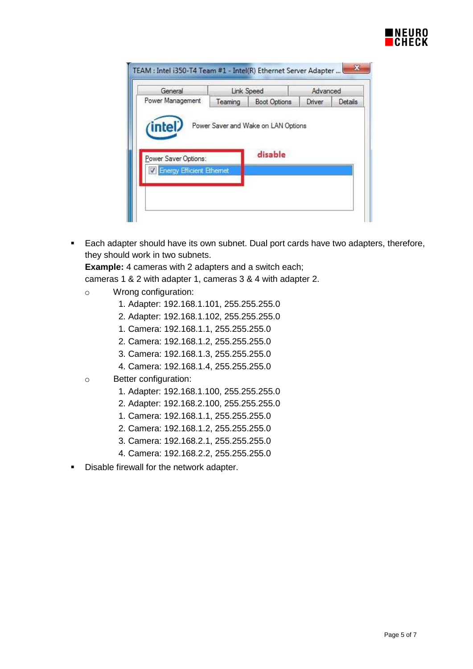

| Power Management<br><b>Boot Options</b><br>Driver<br>Details<br>Teaming<br>Power Saver and Wake on LAN Options<br>intel<br>disable<br>Power Saver Options:<br><b>Energy Efficient Ethernet</b> | General | Link Speed | Advanced |  |
|------------------------------------------------------------------------------------------------------------------------------------------------------------------------------------------------|---------|------------|----------|--|
|                                                                                                                                                                                                |         |            |          |  |
|                                                                                                                                                                                                |         |            |          |  |

**Each adapter should have its own subnet. Dual port cards have two adapters, therefore,** they should work in two subnets.

**Example:** 4 cameras with 2 adapters and a switch each;

cameras 1 & 2 with adapter 1, cameras 3 & 4 with adapter 2.

- o Wrong configuration:
	- 1. Adapter: 192.168.1.101, 255.255.255.0
	- 2. Adapter: 192.168.1.102, 255.255.255.0
	- 1. Camera: 192.168.1.1, 255.255.255.0
	- 2. Camera: 192.168.1.2, 255.255.255.0
	- 3. Camera: 192.168.1.3, 255.255.255.0
	- 4. Camera: 192.168.1.4, 255.255.255.0
- o Better configuration:
	- 1. Adapter: 192.168.1.100, 255.255.255.0
	- 2. Adapter: 192.168.2.100, 255.255.255.0
	- 1. Camera: 192.168.1.1, 255.255.255.0
	- 2. Camera: 192.168.1.2, 255.255.255.0
	- 3. Camera: 192.168.2.1, 255.255.255.0
	- 4. Camera: 192.168.2.2, 255.255.255.0
- **-** Disable firewall for the network adapter.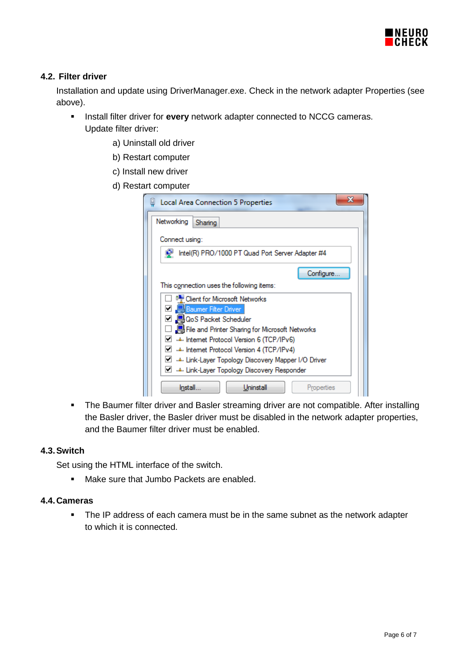

# **4.2. Filter driver**

Installation and update using DriverManager.exe. Check in the network adapter Properties (see above).

- **Install filter driver for every network adapter connected to NCCG cameras.** Update filter driver:
	- a) Uninstall old driver
	- b) Restart computer
	- c) Install new driver
	- d) Restart computer

| Local Area Connection 5 Properties                      |  |  |
|---------------------------------------------------------|--|--|
| Networking<br>Sharing                                   |  |  |
| Connect using:                                          |  |  |
| Intel(R) PRO/1000 PT Quad Port Server Adapter #4        |  |  |
| Configure.                                              |  |  |
| This connection uses the following items:               |  |  |
| Client for Microsoft Networks                           |  |  |
| Baumer Filter Driver                                    |  |  |
| ☑ ■ QoS Packet Scheduler                                |  |  |
| File and Printer Sharing for Microsoft Networks         |  |  |
| M → Internet Protocol Version 6 (TCP/IPv6)              |  |  |
| M → Internet Protocol Version 4 (TCP/IPv4)              |  |  |
| Link-Layer Topology Discovery Mapper I/O Driver ـف الكا |  |  |
| M → Link-Layer Topology Discovery Responder →           |  |  |
| Install.<br>Uninstall<br>Properties                     |  |  |

**The Baumer filter driver and Basler streaming driver are not compatible. After installing** the Basler driver, the Basler driver must be disabled in the network adapter properties, and the Baumer filter driver must be enabled.

#### **4.3.Switch**

Set using the HTML interface of the switch.

• Make sure that Jumbo Packets are enabled.

### **4.4.Cameras**

• The IP address of each camera must be in the same subnet as the network adapter to which it is connected.